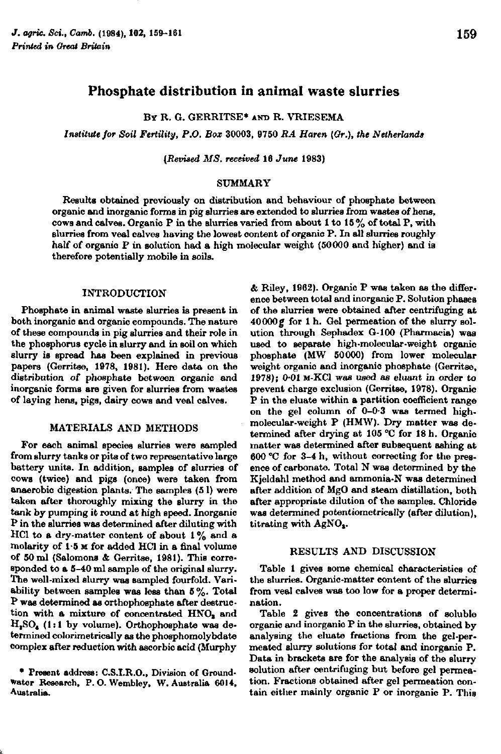# Phosphate distribution in animal waste slurries

BY R. G. GERRITSE\* AND R. VRIESEMA

*Institute for Soil Fertility, P.O. Box* 30003, 9750 *RA Haren (Gr.), the Netherlands* 

*(Revised MS. received* 16 *June* 1983)

### SUMMARY

Results obtained previously on distribution and behaviour of phosphate between organic and inorganic forms in pig slurries are extended to slurries from wastes of hens, cows and calves. Organic P in the slurries varied from about 1 to 15% of total P, with slurries from veal calves having the lowest content of organic P. In all slurries roughly half of organic P in solution had a high molecular weight (50000 and higher) and is therefore potentially mobile in soils.

## INTRODUCTION

Phosphate in animal waste slurries is present in both inorganic and organic compounds. The nature of these compounds in pig slurries and their role in the phosphorus cycle in slurry and in soil on which slurry is spread has been explained in previous papers (Gerritse, 1978, 1981). Here data on the distribution of phosphate between organic and inorganic forms are given for slurries from wastes of laying hens, pigs, dairy cows and veal calves.

## MATERIALS AND METHODS

For each animal species slurries were sampled from slurry tanks or pits of two representative large battery units. In addition, samples of slurries of cows (twice) and pigs (once) were taken from anaerobic digestion plants.' The samples (5 1) were taken after thoroughly mixing the slurry in the tank by pumping it round at high speed. Inorganic P in the slurries was determined after diluting with HCl to a dry-matter content of about  $1\%$  and a molarity of 1-5 M for added HCl in a final volume of 50 ml (Salomons & Gerritse, 1981). This corresponded to a 5-40 ml sample of the original slurry. The well-mixed slurry was sampled fourfold. Variability between samples was less than  $5\%$ . Total P was determined as orthophosphate after destruction with a mixture of concentrated  $HNO<sub>a</sub>$  and  $H<sub>2</sub>SO<sub>4</sub>$  (1:1 by volume). Orthophosphate was determined colorimetrically as the phosphomolybdate complex after reduction with ascorbic acid (Murphy

• Present address: C.S.I.R.O., Division of Ground-Water Research, P.O.Wembley, W.Australia 6014, Australia.

& Riley, 1962). Organic P was taken as the difference between total and inorganic P. Solution phases of the slurries were obtained after centrifuging at 40000g for 1 h. Gel permeation of the slurry solution through Sephadex G-100 (Pharmacia) was used to separate high-molecular-weight organic phosphate (MW 50000) from lower molecular weight organic and inorganic phosphate (Gerritse, 1978); 0-01 M-KC1 was used as eluant in order to prevent charge exclusion (Gerritse, 1978). Organic P in the eluate within a partition coefficient range on the gel column of 0-0-3 was termed highmolecular-weight P (HMW). Dry matter was determined after drying at 105 °C for 18 h. Organic matter was determined after subsequent ashing at 600 °C for 3-4 h, without correcting for the presence of carbonate. Total N was determined by the Kjeldahl method and ammonia-N was determined after addition of MgO and steam distillation, both after appropriate dilution of the samples. Chloride was determined potentiometrically (after dilution), titrating with AgNO,.

#### RESULTS AND DISCUSSION

Table 1 gives some chemical characteristics of the slurries. Organic-matter content of the slurries from veal calves was too low for a proper determination.

Table 2 gives the concentrations of soluble organic and inorganic P in the slurries, obtained by analysing the eluate fractions from the gel-permeated slurry solutions for total and inorganic P. Data in brackets are for the analysis of the slurry solution after centrifuging but before gel permeation. Fractions obtained after gel permeation contain either mainly organic P or inorganic P. This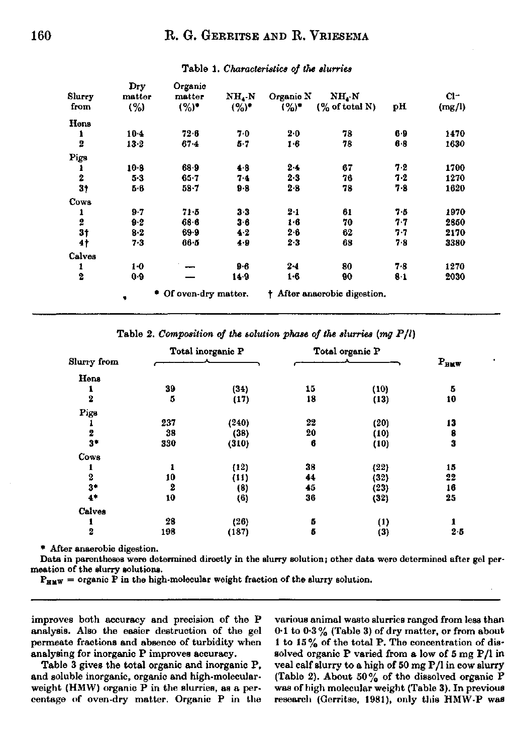|                  | Dry      | Organic               |           |           |                                         |     |        |
|------------------|----------|-----------------------|-----------|-----------|-----------------------------------------|-----|--------|
| Slurry           | matter   | matter                | $NH_{4}N$ | Organic N | $NH_{4} N$                              |     | $Cl^-$ |
| from             | (%)      | $(%)^*$               | $(%)^*$   | $(9)$ *   | $(\%$ of total N)                       | pН  | (mg/l) |
| Hens             |          |                       |           |           |                                         |     |        |
| 1                | $10 - 4$ | 72.6                  | 7.0       | 2.0       | 78                                      | 6.9 | 1470   |
| $\overline{2}$   | $13 - 2$ | $67 - 4$              | $5 - 7$   | 1.6       | 78                                      | 68  | 1630   |
| Pigs             |          |                       |           |           |                                         |     |        |
| 1                | $10-8$   | 68.9                  | 4.8       | $2 - 4$   | 67                                      | 7.2 | 1700   |
| $\boldsymbol{2}$ | $5-3$    | $65 - 7$              | 7.4       | 2.3       | 76                                      | 7.2 | 1270   |
| 3†               | 5.6      | 58-7                  | $9 - 8$   | 2.8       | 78                                      | 7-8 | 1620   |
| Cows             |          |                       |           |           |                                         |     |        |
| 1                | $9 - 7$  | 71.5                  | $3-3$     | $2 - 1$   | 61                                      | 75  | 1970   |
| $\boldsymbol{2}$ | 0.2      | $68 - 6$              | $3-6$     | $1-6$     | 70                                      | 77  | 2850   |
| 3 <sub>1</sub>   | $8-2$    | 69.9                  | 4.2       | 2.6       | 62                                      | 77  | 2170   |
| $4\dagger$       | $7 - 3$  | $66 - 5$              | 4.9       | $2-3$     | 68                                      | 78  | 3380   |
| Calves           |          |                       |           |           |                                         |     |        |
| 1                | $1-0$    |                       | $9-6$     | $2 - 4$   | 80                                      | 7.8 | 1270   |
| $\overline{2}$   | 0.9      |                       | 14.9      | 1.6       | 90                                      | 8.1 | 2030   |
|                  | ۰        | * Of oven-dry matter. |           |           | <sup>†</sup> After anaerobic digestion. |     |        |

## Table 1. *Characteristics of the slurries*

Table 2. *Composition of the solution phase of the slurries (mg P<sub>)</sub>* 

|                         | Total inorganic P |          | Total organic P |                  |          |
|-------------------------|-------------------|----------|-----------------|------------------|----------|
| Slurry from             |                   |          |                 |                  | $P_{HW}$ |
| Hens                    |                   |          |                 |                  |          |
| 1                       | 39                | (34)     | 15              | (10)             | 5        |
| $\overline{\mathbf{2}}$ | 5                 | (17)     | 18              | (13)             | 10       |
| Pigs                    |                   |          |                 |                  |          |
|                         | 237               | (240)    | 22              | (20)             | 13       |
| 2                       | 33                | (38)     | 20              | (10)             | 8        |
| $3*$                    | 330               | (310)    | 6               | (10)             | 3        |
| Cows                    |                   |          |                 |                  |          |
| 1                       |                   | (12)     | 38              | (22)             | 15       |
| 2                       | 10                | (11)     | 44              | (32)             | 22       |
| $3*$                    | 2                 | (8)      | 45              | (23)             | 16       |
| $4*$                    | 10                | $^{(6)}$ | 36              | (32)             | 25       |
| Calves                  |                   |          |                 |                  |          |
| 1                       | 28                | (26)     | 5               | $\left(1\right)$ | 1        |
| $\overline{\mathbf{2}}$ | 193               | (187)    | 5               | (3)              | $2 - 5$  |

\* After anaerobic digestion.

Data in parentheses were determined directly in the slurry solution ; other data were determined after gel permeation of the slurry solutions.

 $P_{H\text{MW}}$  = organic P in the high-molecular weight fraction of the slurry solution.

improves both accuracy and precision of the P analysis. Also the easier destruction of the gel permeate fractions and absence of turbidity when analysing for inorganic P improves accuracy.

Table 3 gives the total organic and inorganic P, and soluble inorganic, organic and high-molecularweight (HMW) organic P in the slurries, as a percentage of oven-dry matter. Organic P in the

various animal waste slurries ranged from less than 0 1 to 0-3% (Table 3) of dry matter, or from about 1 to  $15\%$  of the total P. The concentration of dissolved organic P varied from a low of 5 mg P/l in veal calf slurry to a high of 50 mg P/l in cow slurry (Table 2). About 50% of the dissolved organic  $P$ was of high molecular weight (Table 3). In previous research (Gerritse, 1981), only this HMW-P was